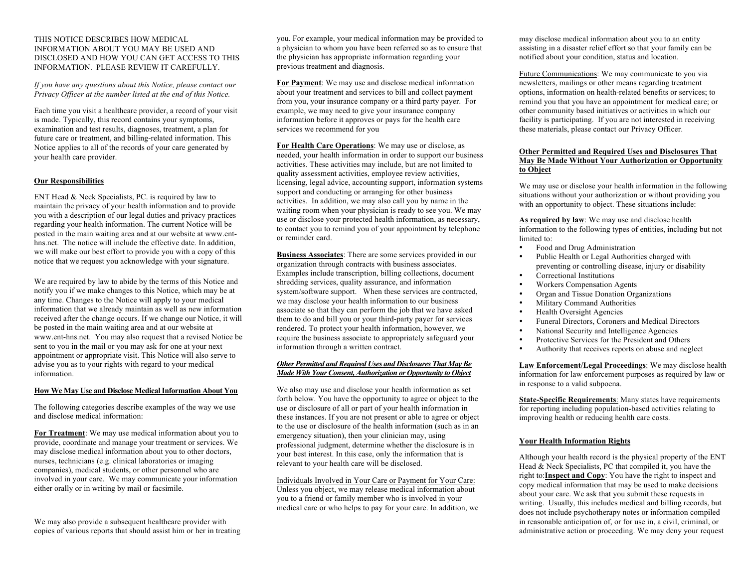#### THIS NOTICE DESCRIBES HOW MEDICAL INFORMATION ABOUT YOU MAY BE USED AND DISCLOSED AND HOW YOU CAN GET ACCESS TO THIS INFORMATION. PLEASE REVIEW IT CAREFULLY.

*If you have any questions about this Notice, please contact our Privacy Officer at the number listed at the end of this Notice.*

Each time you visit a healthcare provider, a record of your visit is made. Typically, this record contains your symptoms, examination and test results, diagnoses, treatment, a plan for future care or treatment, and billing-related information. This Notice applies to all of the records of your care generated by your health care provider.

# **Our Responsibilities**

ENT Head & Neck Specialists, PC. is required by law to maintain the privacy of your health information and to provide you with a description of our legal duties and privacy practices regarding your health information. The current Notice will be posted in the main waiting area and at our website at www.enthns.net. The notice will include the effective date. In addition, we will make our best effort to provide you with a copy of this notice that we request you acknowledge with your signature.

We are required by law to abide by the terms of this Notice and notify you if we make changes to this Notice, which may be at any time. Changes to the Notice will apply to your medical information that we already maintain as well as new information received after the change occurs. If we change our Notice, it will be posted in the main waiting area and at our website at www.ent-hns.net.You may also request that a revised Notice be sent to you in the mail or you may ask for one at your next appointment or appropriate visit. This Notice will also serve to advise you as to your rights with regard to your medical information.

### **How We May Use and Disclose Medical Information About You**

The following categories describe examples of the way we use and disclose medical information:

**For Treatment**: We may use medical information about you to provide, coordinate and manage your treatment or services. We may disclose medical information about you to other doctors, nurses, technicians (e.g. clinical laboratories or imaging companies), medical students, or other personnel who are involved in your care. We may communicate your information either orally or in writing by mail or facsimile.

We may also provide a subsequent healthcare provider with copies of various reports that should assist him or her in treating

you. For example, your medical information may be provided to a physician to whom you have been referred so as to ensure that the physician has appropriate information regarding your previous treatment and diagnosis.

**For Payment**: We may use and disclose medical information about your treatment and services to bill and collect payment from you, your insurance company or a third party payer. For example, we may need to give your insurance company information before it approves or pays for the health care services we recommend for you

**For Health Care Operations**: We may use or disclose, as needed, your health information in order to support our business activities. These activities may include, but are not limited to quality assessment activities, employee review activities, licensing, legal advice, accounting support, information systems support and conducting or arranging for other business activities. In addition, we may also call you by name in the waiting room when your physician is ready to see you. We may use or disclose your protected health information, as necessary, to contact you to remind you of your appointment by telephone or reminder card.

**Business Associates**: There are some services provided in our organization through contracts with business associates. Examples include transcription, billing collections, document shredding services, quality assurance, and information system/software support. When these services are contracted, we may disclose your health information to our business associate so that they can perform the job that we have asked them to do and bill you or your third-party payer for services rendered. To protect your health information, however, we require the business associate to appropriately safeguard your information through a written contract.

## *Other Permitted and Required Uses and Disclosures That May Be Made With Your Consent, Authorization or Opportunity to Object*

We also may use and disclose your health information as set forth below. You have the opportunity to agree or object to the use or disclosure of all or part of your health information in these instances. If you are not present or able to agree or object to the use or disclosure of the health information (such as in an emergency situation), then your clinician may, using professional judgment, determine whether the disclosure is in your best interest. In this case, only the information that is relevant to your health care will be disclosed.

Individuals Involved in Your Care or Payment for Your Care: Unless you object, we may release medical information about you to a friend or family member who is involved in your medical care or who helps to pay for your care. In addition, we may disclose medical information about you to an entity assisting in a disaster relief effort so that your family can be notified about your condition, status and location.

Future Communications: We may communicate to you via newsletters, mailings or other means regarding treatment options, information on health-related benefits or services; to remind you that you have an appointment for medical care; or other community based initiatives or activities in which our facility is participating. If you are not interested in receiving these materials, please contact our Privacy Officer.

## **Other Permitted and Required Uses and Disclosures That May Be Made Without Your Authorization or Opportunity to Object**

We may use or disclose your health information in the following situations without your authorization or without providing you with an opportunity to object. These situations include:

**As required by law**: We may use and disclose health information to the following types of entities, including but not limited to:

- Food and Drug Administration
- Public Health or Legal Authorities charged with preventing or controlling disease, injury or disability • Correctional Institutions
- 
- Workers Compensation Agents
- Organ and Tissue Donation Organizations
- Military Command Authorities
- Health Oversight Agencies<br>• Funeral Directors Coroners
- Funeral Directors, Coroners and Medical Directors<br>• National Security and Intelligence Agencies
- National Security and Intelligence Agencies
- Protective Services for the President and Others
- Authority that receives reports on abuse and neglect

**Law Enforcement/Legal Proceedings**: We may disclose health information for law enforcement purposes as required by law or in response to a valid subpoena.

**State-Specific Requirements**: Many states have requirements for reporting including population-based activities relating to improving health or reducing health care costs.

### **Your Health Information Rights**

Although your health record is the physical property of the ENT Head & Neck Specialists, PC that compiled it, you have the right to:**Inspect and Copy**: You have the right to inspect and copy medical information that may be used to make decisions about your care. We ask that you submit these requests in writing. Usually, this includes medical and billing records, but does not include psychotherapy notes or information compiled in reasonable anticipation of, or for use in, a civil, criminal, or administrative action or proceeding. We may deny your request